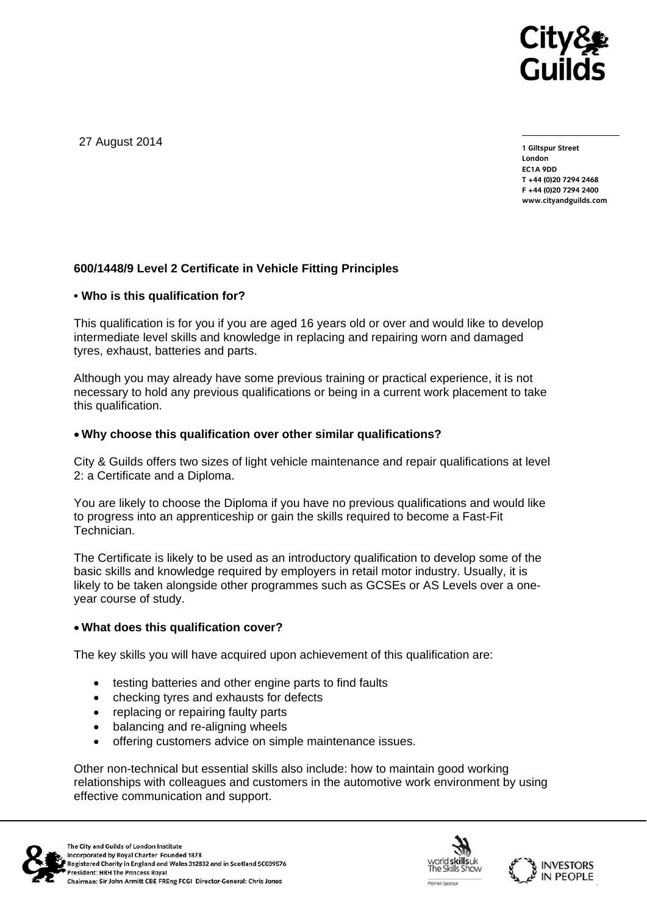

27 August 2014

**1 Giltspur Street London EC1A 9DD T +44 (0)20 7294 2468 F +44 (0)20 7294 2400 www.cityandguilds.com** 

# **600/1448/9 Level 2 Certificate in Vehicle Fitting Principles**

### **• Who is this qualification for?**

This qualification is for you if you are aged 16 years old or over and would like to develop intermediate level skills and knowledge in replacing and repairing worn and damaged tyres, exhaust, batteries and parts.

Although you may already have some previous training or practical experience, it is not necessary to hold any previous qualifications or being in a current work placement to take this qualification.

### **Why choose this qualification over other similar qualifications?**

City & Guilds offers two sizes of light vehicle maintenance and repair qualifications at level 2: a Certificate and a Diploma.

You are likely to choose the Diploma if you have no previous qualifications and would like to progress into an apprenticeship or gain the skills required to become a Fast-Fit Technician.

The Certificate is likely to be used as an introductory qualification to develop some of the basic skills and knowledge required by employers in retail motor industry. Usually, it is likely to be taken alongside other programmes such as GCSEs or AS Levels over a oneyear course of study.

# **What does this qualification cover?**

The key skills you will have acquired upon achievement of this qualification are:

- testing batteries and other engine parts to find faults
- checking tyres and exhausts for defects
- replacing or repairing faulty parts
- balancing and re-aligning wheels
- offering customers advice on simple maintenance issues.

Other non-technical but essential skills also include: how to maintain good working relationships with colleagues and customers in the automotive work environment by using effective communication and support.